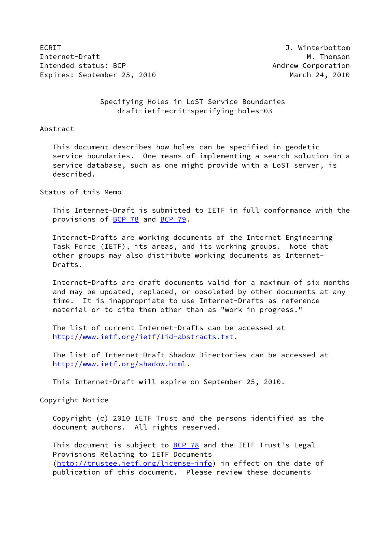ECRIT J. Winterbottom Internet-Draft M. Thomson M. Thomson Intended status: BCP Andrew Corporation Expires: September 25, 2010 March 24, 2010

 Specifying Holes in LoST Service Boundaries draft-ietf-ecrit-specifying-holes-03

Abstract

 This document describes how holes can be specified in geodetic service boundaries. One means of implementing a search solution in a service database, such as one might provide with a LoST server, is described.

Status of this Memo

 This Internet-Draft is submitted to IETF in full conformance with the provisions of [BCP 78](https://datatracker.ietf.org/doc/pdf/bcp78) and [BCP 79](https://datatracker.ietf.org/doc/pdf/bcp79).

 Internet-Drafts are working documents of the Internet Engineering Task Force (IETF), its areas, and its working groups. Note that other groups may also distribute working documents as Internet- Drafts.

 Internet-Drafts are draft documents valid for a maximum of six months and may be updated, replaced, or obsoleted by other documents at any time. It is inappropriate to use Internet-Drafts as reference material or to cite them other than as "work in progress."

 The list of current Internet-Drafts can be accessed at <http://www.ietf.org/ietf/1id-abstracts.txt>.

 The list of Internet-Draft Shadow Directories can be accessed at <http://www.ietf.org/shadow.html>.

This Internet-Draft will expire on September 25, 2010.

Copyright Notice

 Copyright (c) 2010 IETF Trust and the persons identified as the document authors. All rights reserved.

This document is subject to **[BCP 78](https://datatracker.ietf.org/doc/pdf/bcp78)** and the IETF Trust's Legal Provisions Relating to IETF Documents [\(http://trustee.ietf.org/license-info](http://trustee.ietf.org/license-info)) in effect on the date of publication of this document. Please review these documents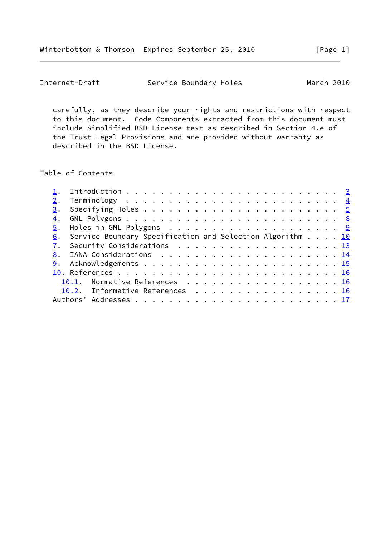carefully, as they describe your rights and restrictions with respect to this document. Code Components extracted from this document must include Simplified BSD License text as described in Section 4.e of the Trust Legal Provisions and are provided without warranty as described in the BSD License.

Table of Contents

|  | 6. Service Boundary Specification and Selection Algorithm 10 |  |
|--|--------------------------------------------------------------|--|
|  | 7. Security Considerations 13                                |  |
|  |                                                              |  |
|  |                                                              |  |
|  |                                                              |  |
|  | 10.1. Normative References 16                                |  |
|  | 10.2. Informative References 16                              |  |
|  |                                                              |  |
|  |                                                              |  |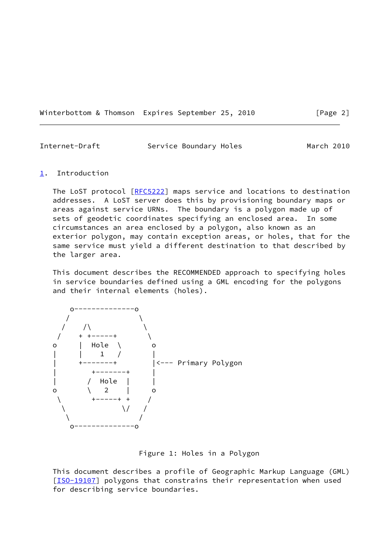Winterbottom & Thomson Expires September 25, 2010 [Page 2]

<span id="page-2-1"></span>

| Internet-Draft | Service Boundary Holes | March 2010 |
|----------------|------------------------|------------|
|                |                        |            |

## <span id="page-2-0"></span>[1](#page-2-0). Introduction

The LoST protocol [[RFC5222](https://datatracker.ietf.org/doc/pdf/rfc5222)] maps service and locations to destination addresses. A LoST server does this by provisioning boundary maps or areas against service URNs. The boundary is a polygon made up of sets of geodetic coordinates specifying an enclosed area. In some circumstances an area enclosed by a polygon, also known as an exterior polygon, may contain exception areas, or holes, that for the same service must yield a different destination to that described by the larger area.

 This document describes the RECOMMENDED approach to specifying holes in service boundaries defined using a GML encoding for the polygons and their internal elements (holes).



Figure 1: Holes in a Polygon

 This document describes a profile of Geographic Markup Language (GML) [\[ISO-19107](#page-17-4)] polygons that constrains their representation when used for describing service boundaries.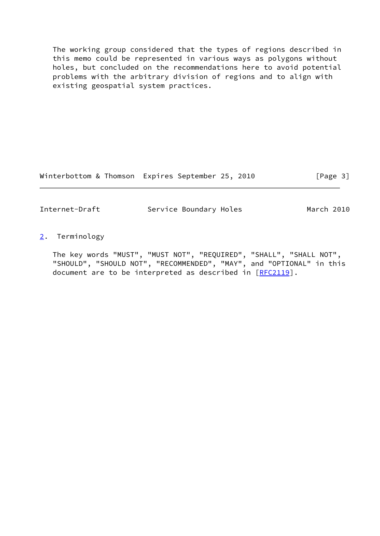The working group considered that the types of regions described in this memo could be represented in various ways as polygons without holes, but concluded on the recommendations here to avoid potential problems with the arbitrary division of regions and to align with existing geospatial system practices.

Winterbottom & Thomson Expires September 25, 2010 [Page 3]

<span id="page-3-1"></span>Internet-Draft Service Boundary Holes March 2010

<span id="page-3-0"></span>[2](#page-3-0). Terminology

 The key words "MUST", "MUST NOT", "REQUIRED", "SHALL", "SHALL NOT", "SHOULD", "SHOULD NOT", "RECOMMENDED", "MAY", and "OPTIONAL" in this document are to be interpreted as described in [\[RFC2119](https://datatracker.ietf.org/doc/pdf/rfc2119)].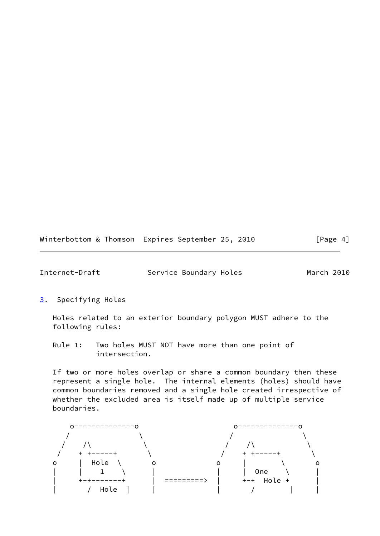Winterbottom & Thomson Expires September 25, 2010 [Page 4]

<span id="page-4-1"></span>Internet-Draft Service Boundary Holes March 2010

<span id="page-4-0"></span>[3](#page-4-0). Specifying Holes

 Holes related to an exterior boundary polygon MUST adhere to the following rules:

 Rule 1: Two holes MUST NOT have more than one point of intersection.

 If two or more holes overlap or share a common boundary then these represent a single hole. The internal elements (holes) should have common boundaries removed and a single hole created irrespective of whether the excluded area is itself made up of multiple service boundaries.

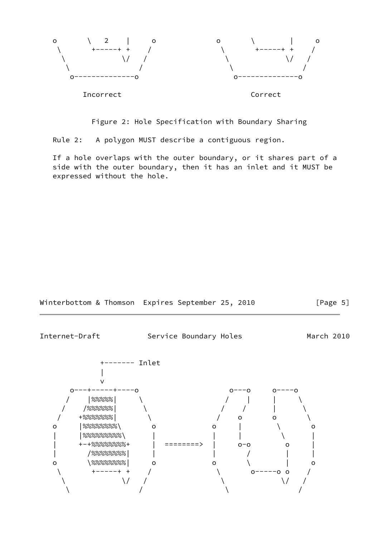

Figure 2: Hole Specification with Boundary Sharing

Rule 2: A polygon MUST describe a contiguous region.

 If a hole overlaps with the outer boundary, or it shares part of a side with the outer boundary, then it has an inlet and it MUST be expressed without the hole.

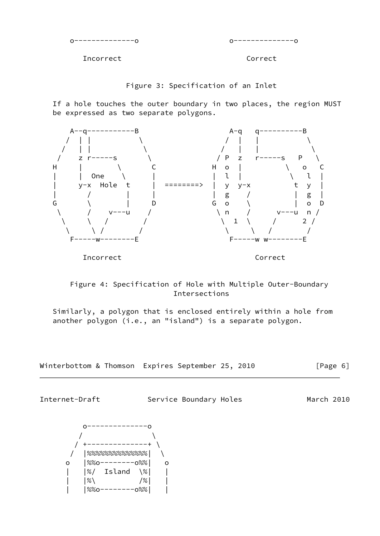o--------------o o--------------o

Incorrect Correct

Figure 3: Specification of an Inlet

 If a hole touches the outer boundary in two places, the region MUST be expressed as two separate polygons.





 Similarly, a polygon that is enclosed entirely within a hole from another polygon (i.e., an "island") is a separate polygon.



Internet-Draft Service Boundary Holes March 2010

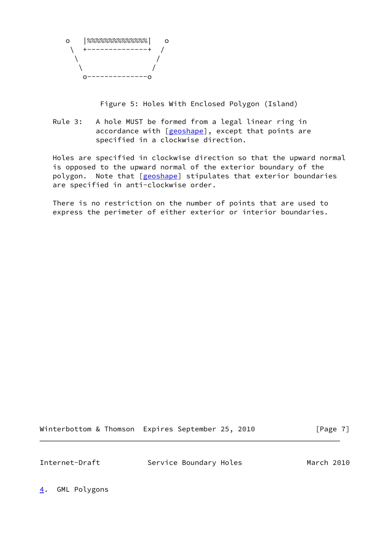

Figure 5: Holes With Enclosed Polygon (Island)

 Rule 3: A hole MUST be formed from a legal linear ring in accordance with [[geoshape\]](#page-17-5), except that points are specified in a clockwise direction.

 Holes are specified in clockwise direction so that the upward normal is opposed to the upward normal of the exterior boundary of the polygon. Note that [\[geoshape](#page-17-5)] stipulates that exterior boundaries are specified in anti-clockwise order.

 There is no restriction on the number of points that are used to express the perimeter of either exterior or interior boundaries.

Winterbottom & Thomson Expires September 25, 2010 [Page 7]

<span id="page-7-1"></span>

Internet-Draft Service Boundary Holes March 2010

<span id="page-7-0"></span>[4](#page-7-0). GML Polygons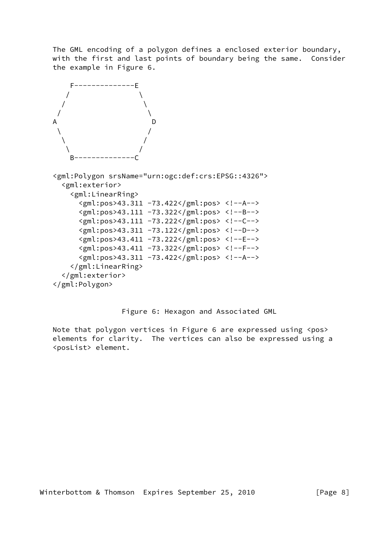The GML encoding of a polygon defines a enclosed exterior boundary, with the first and last points of boundary being the same. Consider the example in Figure 6.



```
 <gml:Polygon srsName="urn:ogc:def:crs:EPSG::4326">
  <gml:exterior>
    <gml:LinearRing>
      <gml:pos>43.311 -73.422</gml:pos> <!--A-->
      <gml:pos>43.111 -73.322</gml:pos> <!--B-->
      <gml:pos>43.111 -73.222</gml:pos> <!--C-->
      <gml:pos>43.311 -73.122</gml:pos> <!--D-->
      <gml:pos>43.411 -73.222</gml:pos> <!--E-->
      <gml:pos>43.411 -73.322</gml:pos> <!--F-->
      <gml:pos>43.311 -73.422</gml:pos> <!--A-->
    </gml:LinearRing>
  </gml:exterior>
</gml:Polygon>
```
Figure 6: Hexagon and Associated GML

Note that polygon vertices in Figure 6 are expressed using <pos> elements for clarity. The vertices can also be expressed using a <posList> element.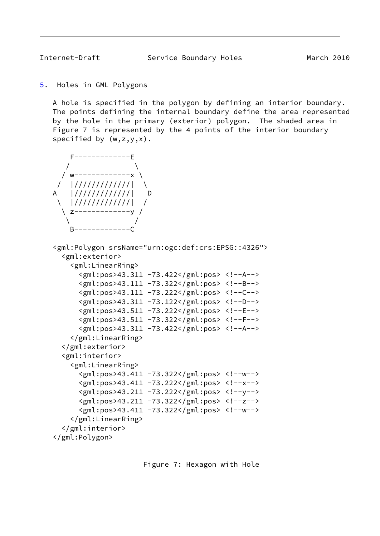<span id="page-9-1"></span>

```
5. Holes in GML Polygons
```
 A hole is specified in the polygon by defining an interior boundary. The points defining the internal boundary define the area represented by the hole in the primary (exterior) polygon. The shaded area in Figure 7 is represented by the 4 points of the interior boundary specified by  $(w,z,y,x)$ .



```
 <gml:Polygon srsName="urn:ogc:def:crs:EPSG::4326">
  <gml:exterior>
    <gml:LinearRing>
      <gml:pos>43.311 -73.422</gml:pos> <!--A-->
      <gml:pos>43.111 -73.322</gml:pos> <!--B-->
      <gml:pos>43.111 -73.222</gml:pos> <!--C-->
      <gml:pos>43.311 -73.122</gml:pos> <!--D-->
      <gml:pos>43.511 -73.222</gml:pos> <!--E-->
      <gml:pos>43.511 -73.322</gml:pos> <!--F-->
      <gml:pos>43.311 -73.422</gml:pos> <!--A-->
    </gml:LinearRing>
  </gml:exterior>
  <gml:interior>
    <gml:LinearRing>
      <gml:pos>43.411 -73.322</gml:pos> <!--w-->
      <gml:pos>43.411 -73.222</gml:pos> <!--x-->
      <gml:pos>43.211 -73.222</gml:pos> <!--y-->
      <gml:pos>43.211 -73.322</gml:pos> <!--z-->
      <gml:pos>43.411 -73.322</gml:pos> <!--w-->
    </gml:LinearRing>
  </gml:interior>
</gml:Polygon>
```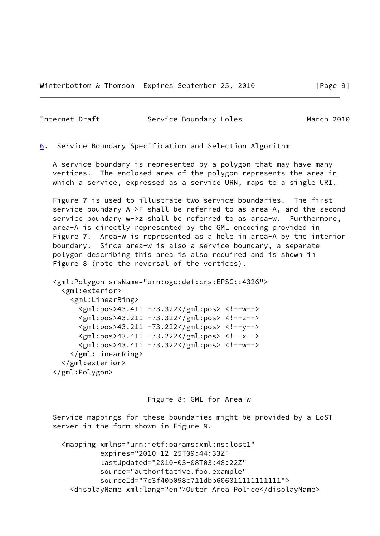<span id="page-10-1"></span><span id="page-10-0"></span>[6](#page-10-0). Service Boundary Specification and Selection Algorithm

 A service boundary is represented by a polygon that may have many vertices. The enclosed area of the polygon represents the area in which a service, expressed as a service URN, maps to a single URI.

 Figure 7 is used to illustrate two service boundaries. The first service boundary A->F shall be referred to as area-A, and the second service boundary w->z shall be referred to as area-w. Furthermore, area-A is directly represented by the GML encoding provided in Figure 7. Area-w is represented as a hole in area-A by the interior boundary. Since area-w is also a service boundary, a separate polygon describing this area is also required and is shown in Figure 8 (note the reversal of the vertices).

```
 <gml:Polygon srsName="urn:ogc:def:crs:EPSG::4326">
  <gml:exterior>
    <gml:LinearRing>
      <gml:pos>43.411 -73.322</gml:pos> <!--w-->
      <gml:pos>43.211 -73.322</gml:pos> <!--z-->
      <gml:pos>43.211 -73.222</gml:pos> <!--y-->
      <gml:pos>43.411 -73.222</gml:pos> <!--x-->
      <gml:pos>43.411 -73.322</gml:pos> <!--w-->
    </gml:LinearRing>
  </gml:exterior>
</gml:Polygon>
```
Figure 8: GML for Area-w

 Service mappings for these boundaries might be provided by a LoST server in the form shown in Figure 9.

```
 <mapping xmlns="urn:ietf:params:xml:ns:lost1"
         expires="2010-12-25T09:44:33Z"
         lastUpdated="2010-03-08T03:48:22Z"
         source="authoritative.foo.example"
         sourceId="7e3f40b098c711dbb606011111111111">
  <displayName xml:lang="en">Outer Area Police</displayName>
```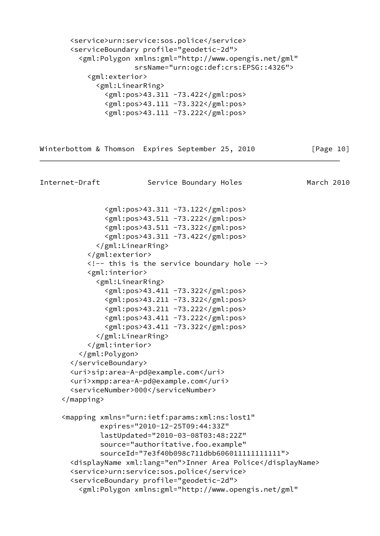<service>urn:service:sos.police</service> <serviceBoundary profile="geodetic-2d"> <gml:Polygon xmlns:gml="http://www.opengis.net/gml" srsName="urn:ogc:def:crs:EPSG::4326"> <gml:exterior> <gml:LinearRing> <gml:pos>43.311 -73.422</gml:pos> <gml:pos>43.111 -73.322</gml:pos> <gml:pos>43.111 -73.222</gml:pos>

Winterbottom & Thomson Expires September 25, 2010 [Page 10]

```
Internet-Draft Service Boundary Holes March 2010
               <gml:pos>43.311 -73.122</gml:pos>
               <gml:pos>43.511 -73.222</gml:pos>
               <gml:pos>43.511 -73.322</gml:pos>
               <gml:pos>43.311 -73.422</gml:pos>
             </gml:LinearRing>
           </gml:exterior>
           <!-- this is the service boundary hole -->
           <gml:interior>
             <gml:LinearRing>
               <gml:pos>43.411 -73.322</gml:pos>
               <gml:pos>43.211 -73.322</gml:pos>
               <gml:pos>43.211 -73.222</gml:pos>
               <gml:pos>43.411 -73.222</gml:pos>
               <gml:pos>43.411 -73.322</gml:pos>
             </gml:LinearRing>
           </gml:interior>
         </gml:Polygon>
       </serviceBoundary>
       <uri>sip:area-A-pd@example.com</uri>
       <uri>xmpp:area-A-pd@example.com</uri>
       <serviceNumber>000</serviceNumber>
     </mapping>
     <mapping xmlns="urn:ietf:params:xml:ns:lost1"
              expires="2010-12-25T09:44:33Z"
              lastUpdated="2010-03-08T03:48:22Z"
              source="authoritative.foo.example"
              sourceId="7e3f40b098c711dbb606011111111111">
       <displayName xml:lang="en">Inner Area Police</displayName>
       <service>urn:service:sos.police</service>
       <serviceBoundary profile="geodetic-2d">
         <gml:Polygon xmlns:gml="http://www.opengis.net/gml"
```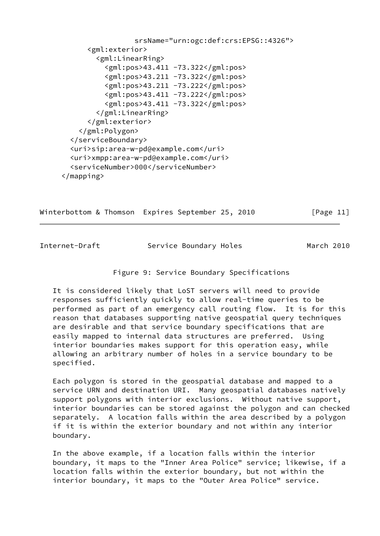```
 srsName="urn:ogc:def:crs:EPSG::4326">
      <gml:exterior>
        <gml:LinearRing>
         <gml:pos>43.411 -73.322</gml:pos>
          <gml:pos>43.211 -73.322</gml:pos>
          <gml:pos>43.211 -73.222</gml:pos>
          <gml:pos>43.411 -73.222</gml:pos>
          <gml:pos>43.411 -73.322</gml:pos>
        </gml:LinearRing>
      </gml:exterior>
    </gml:Polygon>
  </serviceBoundary>
  <uri>sip:area-w-pd@example.com</uri>
  <uri>xmpp:area-w-pd@example.com</uri>
  <serviceNumber>000</serviceNumber>
</mapping>
```
Winterbottom & Thomson Expires September 25, 2010 [Page 11]

Internet-Draft Service Boundary Holes March 2010

## Figure 9: Service Boundary Specifications

 It is considered likely that LoST servers will need to provide responses sufficiently quickly to allow real-time queries to be performed as part of an emergency call routing flow. It is for this reason that databases supporting native geospatial query techniques are desirable and that service boundary specifications that are easily mapped to internal data structures are preferred. Using interior boundaries makes support for this operation easy, while allowing an arbitrary number of holes in a service boundary to be specified.

 Each polygon is stored in the geospatial database and mapped to a service URN and destination URI. Many geospatial databases natively support polygons with interior exclusions. Without native support, interior boundaries can be stored against the polygon and can checked separately. A location falls within the area described by a polygon if it is within the exterior boundary and not within any interior boundary.

 In the above example, if a location falls within the interior boundary, it maps to the "Inner Area Police" service; likewise, if a location falls within the exterior boundary, but not within the interior boundary, it maps to the "Outer Area Police" service.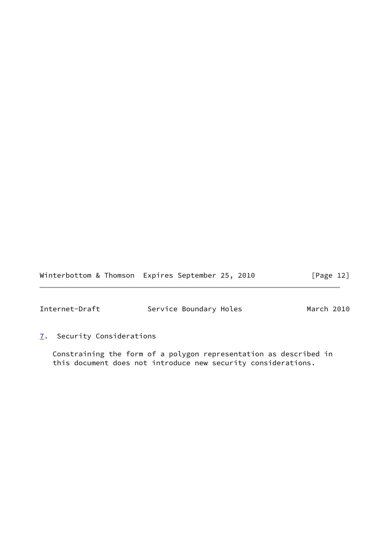Winterbottom & Thomson Expires September 25, 2010 [Page 12]

<span id="page-13-1"></span>Internet-Draft Service Boundary Holes March 2010

<span id="page-13-0"></span>[7](#page-13-0). Security Considerations

 Constraining the form of a polygon representation as described in this document does not introduce new security considerations.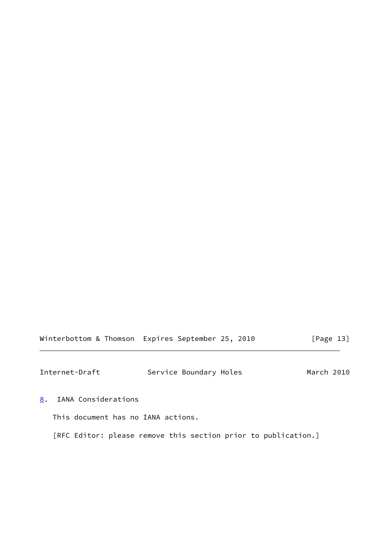Winterbottom & Thomson Expires September 25, 2010 [Page 13]

<span id="page-14-1"></span>Internet-Draft Service Boundary Holes March 2010

<span id="page-14-0"></span>[8](#page-14-0). IANA Considerations

This document has no IANA actions.

[RFC Editor: please remove this section prior to publication.]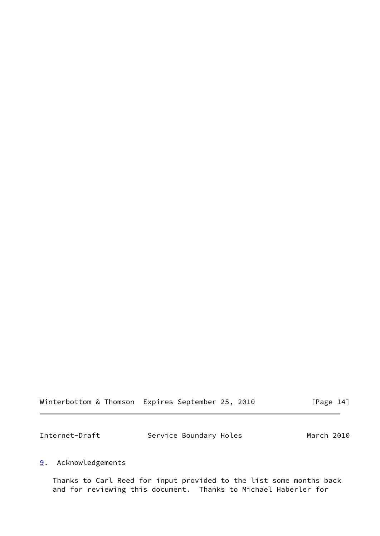| Winterbottom & Thomson Expires September 25, 2010 |  |  | [Page 14] |
|---------------------------------------------------|--|--|-----------|
|---------------------------------------------------|--|--|-----------|

<span id="page-15-1"></span>

| Internet-Draft | Service Boundary Holes | March 2010 |
|----------------|------------------------|------------|
|                |                        |            |

## <span id="page-15-0"></span>[9](#page-15-0). Acknowledgements

 Thanks to Carl Reed for input provided to the list some months back and for reviewing this document. Thanks to Michael Haberler for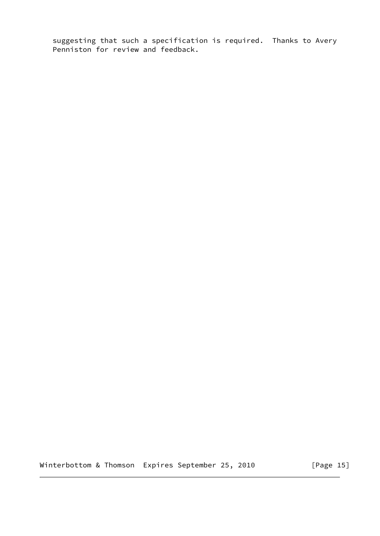suggesting that such a specification is required. Thanks to Avery Penniston for review and feedback.

Winterbottom & Thomson Expires September 25, 2010 [Page 15]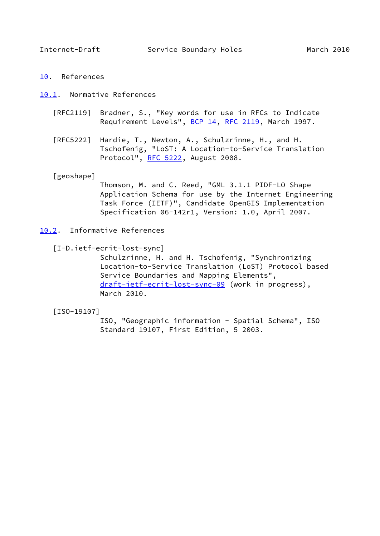<span id="page-17-1"></span>

<span id="page-17-0"></span>[10.](#page-17-0) References

<span id="page-17-2"></span>[10.1](#page-17-2). Normative References

- [RFC2119] Bradner, S., "Key words for use in RFCs to Indicate Requirement Levels", [BCP 14](https://datatracker.ietf.org/doc/pdf/bcp14), [RFC 2119](https://datatracker.ietf.org/doc/pdf/rfc2119), March 1997.
- [RFC5222] Hardie, T., Newton, A., Schulzrinne, H., and H. Tschofenig, "LoST: A Location-to-Service Translation Protocol", [RFC 5222](https://datatracker.ietf.org/doc/pdf/rfc5222), August 2008.

<span id="page-17-5"></span>[geoshape]

 Thomson, M. and C. Reed, "GML 3.1.1 PIDF-LO Shape Application Schema for use by the Internet Engineering Task Force (IETF)", Candidate OpenGIS Implementation Specification 06-142r1, Version: 1.0, April 2007.

- <span id="page-17-3"></span>[10.2](#page-17-3). Informative References
	- [I-D.ietf-ecrit-lost-sync]

 Schulzrinne, H. and H. Tschofenig, "Synchronizing Location-to-Service Translation (LoST) Protocol based Service Boundaries and Mapping Elements", [draft-ietf-ecrit-lost-sync-09](https://datatracker.ietf.org/doc/pdf/draft-ietf-ecrit-lost-sync-09) (work in progress), March 2010.

<span id="page-17-4"></span>[ISO-19107]

 ISO, "Geographic information - Spatial Schema", ISO Standard 19107, First Edition, 5 2003.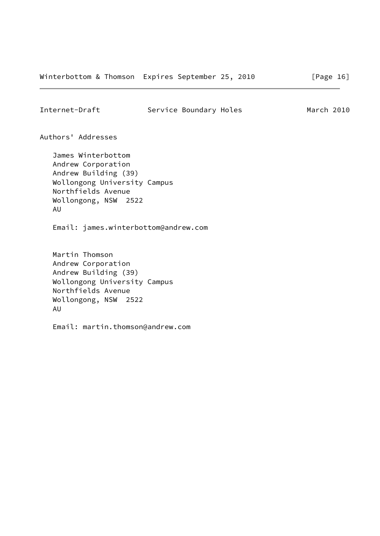<span id="page-18-0"></span>Authors' Addresses

 James Winterbottom Andrew Corporation Andrew Building (39) Wollongong University Campus Northfields Avenue Wollongong, NSW 2522 AU

Email: james.winterbottom@andrew.com

 Martin Thomson Andrew Corporation Andrew Building (39) Wollongong University Campus Northfields Avenue Wollongong, NSW 2522 AU

Email: martin.thomson@andrew.com